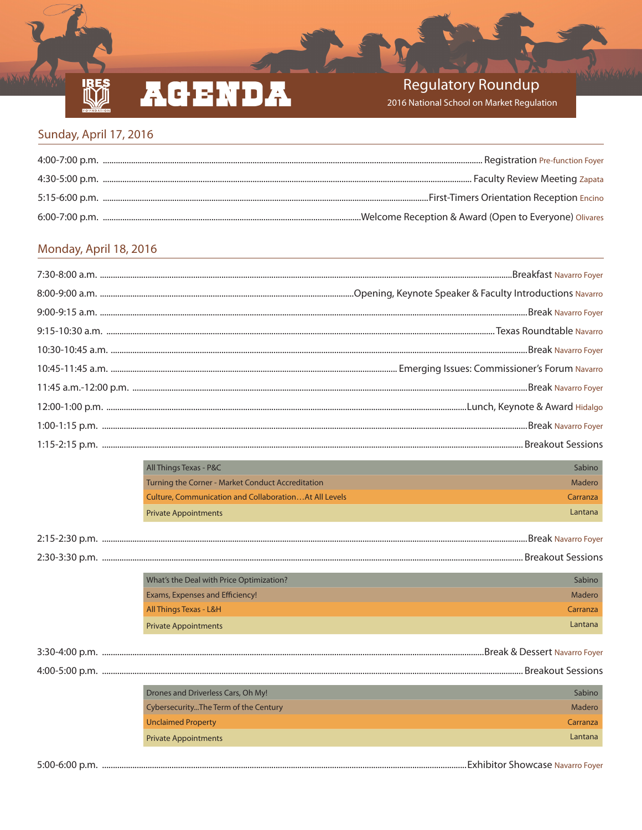# ACENDA

### **Regulatory Roundup**

2016 National School on Market Regulation

#### Sunday, April 17, 2016

**RE** 

#### Monday, April 18, 2016

| All Things Texas - P&C                                        | Sabino   |
|---------------------------------------------------------------|----------|
| Turning the Corner - Market Conduct Accreditation             | Madero   |
| <b>Culture, Communication and Collaboration At All Levels</b> | Carranza |
| <b>Private Appointments</b>                                   | Lantana  |
|                                                               |          |
|                                                               |          |
| What's the Deal with Price Optimization?                      | Sabino   |
| Exams, Expenses and Efficiency!                               | Madero   |
| All Things Texas - L&H                                        | Carranza |
| <b>Private Appointments</b>                                   | Lantana  |
|                                                               |          |
|                                                               |          |
| Drones and Driverless Cars, Oh My!                            | Sabino   |
| CybersecurityThe Term of the Century                          | Madero   |
| <b>Unclaimed Property</b>                                     | Carranza |
| <b>Private Appointments</b>                                   | Lantana  |
|                                                               |          |